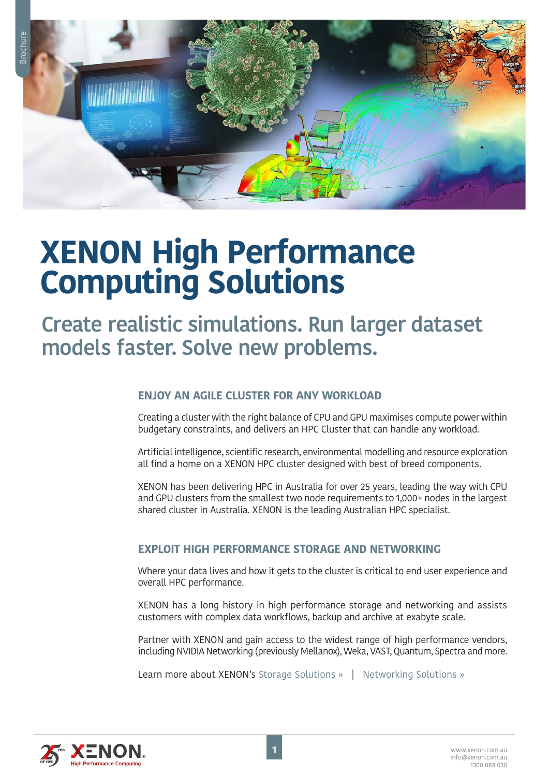# **XENON High Performance Computing Solutions**

**Create realistic simulations. Run larger dataset models faster. Solve new problems.**

## **ENJOY AN AGILE CLUSTER FOR ANY WORKLOAD**

Creating a cluster with the right balance of CPU and GPU maximises compute power within budgetary constraints, and delivers an HPC Cluster that can handle any workload.

Artificial intelligence, scientific research, environmental modelling and resource exploration all find a home on a XENON HPC cluster designed with best of breed components.

XENON has been delivering HPC in Australia for over 25 years, leading the way with CPU and GPU clusters from the smallest two node requirements to 1,000+ nodes in the largest shared cluster in Australia. XENON is the leading Australian HPC specialist.

## **EXPLOIT HIGH PERFORMANCE STORAGE AND NETWORKING**

Where your data lives and how it gets to the cluster is critical to end user experience and overall HPC performance.

XENON has a long history in high performance storage and networking and assists customers with complex data workflows, backup and archive at exabyte scale.

Partner with XENON and gain access to the widest range of high performance vendors, including NVIDIA Networking (previously Mellanox), Weka, VAST, Quantum, Spectra and more.

Learn more about XENON's [Storage Solutions »](https://xenon.com.au/products-and-solutions/storage-data-protection/) | [Networking Solutions »](https://xenon.com.au/products-and-solutions/networking/)

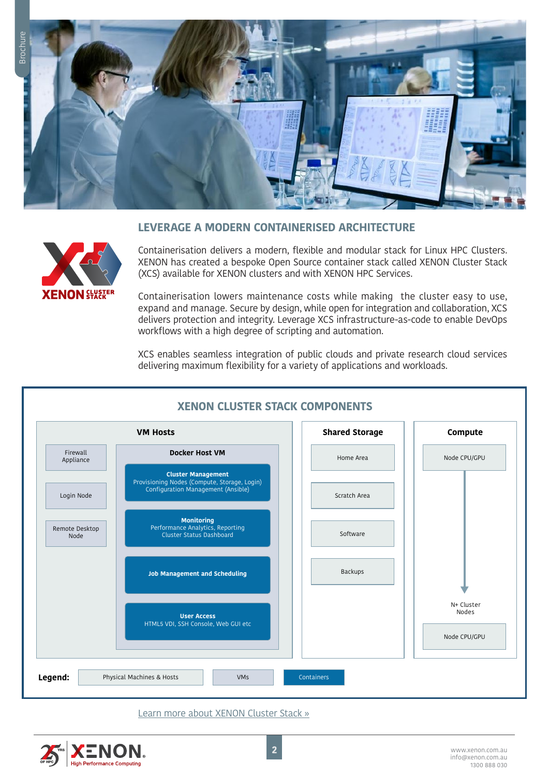

#### **LEVERAGE A MODERN CONTAINERISED ARCHITECTURE**



Containerisation delivers a modern, flexible and modular stack for Linux HPC Clusters. XENON has created a bespoke Open Source container stack called XENON Cluster Stack (XCS) available for XENON clusters and with XENON HPC Services.

Containerisation lowers maintenance costs while making the cluster easy to use, expand and manage. Secure by design, while open for integration and collaboration, XCS delivers protection and integrity. Leverage XCS infrastructure-as-code to enable DevOps workflows with a high degree of scripting and automation.

XCS enables seamless integration of public clouds and private research cloud services delivering maximum flexibility for a variety of applications and workloads.



[Learn more about XENON Cluster Stack »](https://xenon.com.au/hpc-solutions/xenon-cluster-stack-xcs/)